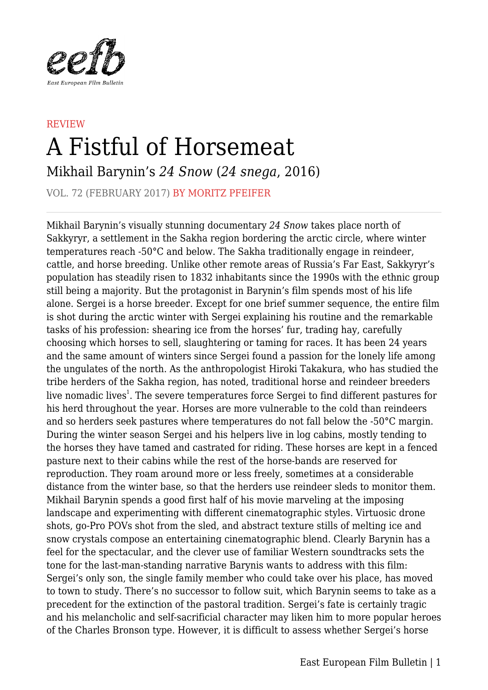

## **REVIEW** A Fistful of Horsemeat Mikhail Barynin's *24 Snow* (*24 snega*, 2016)

VOL. 72 (FEBRUARY 2017) BY MORITZ PFEIFER

Mikhail Barynin's visually stunning documentary *24 Snow* takes place north of Sakkyryr, a settlement in the Sakha region bordering the arctic circle, where winter temperatures reach -50°C and below. The Sakha traditionally engage in reindeer, cattle, and horse breeding. Unlike other remote areas of Russia's Far East, Sakkyryr's population has steadily risen to 1832 inhabitants since the 1990s with the ethnic group still being a majority. But the protagonist in Barynin's film spends most of his life alone. Sergei is a horse breeder. Except for one brief summer sequence, the entire film is shot during the arctic winter with Sergei explaining his routine and the remarkable tasks of his profession: shearing ice from the horses' fur, trading hay, carefully choosing which horses to sell, slaughtering or taming for races. It has been 24 years and the same amount of winters since Sergei found a passion for the lonely life among the ungulates of the north. As the anthropologist Hiroki Takakura, who has studied the tribe herders of the Sakha region, has noted, traditional horse and reindeer breeders live nomadic lives<sup>1</sup>. The severe temperatures force Sergei to find different pastures for his herd throughout the year. Horses are more vulnerable to the cold than reindeers and so herders seek pastures where temperatures do not fall below the -50°C margin. During the winter season Sergei and his helpers live in log cabins, mostly tending to the horses they have tamed and castrated for riding. These horses are kept in a fenced pasture next to their cabins while the rest of the horse-bands are reserved for reproduction. They roam around more or less freely, sometimes at a considerable distance from the winter base, so that the herders use reindeer sleds to monitor them. Mikhail Barynin spends a good first half of his movie marveling at the imposing landscape and experimenting with different cinematographic styles. Virtuosic drone shots, go-Pro POVs shot from the sled, and abstract texture stills of melting ice and snow crystals compose an entertaining cinematographic blend. Clearly Barynin has a feel for the spectacular, and the clever use of familiar Western soundtracks sets the tone for the last-man-standing narrative Barynis wants to address with this film: Sergei's only son, the single family member who could take over his place, has moved to town to study. There's no successor to follow suit, which Barynin seems to take as a precedent for the extinction of the pastoral tradition. Sergei's fate is certainly tragic and his melancholic and self-sacrificial character may liken him to more popular heroes of the Charles Bronson type. However, it is difficult to assess whether Sergei's horse